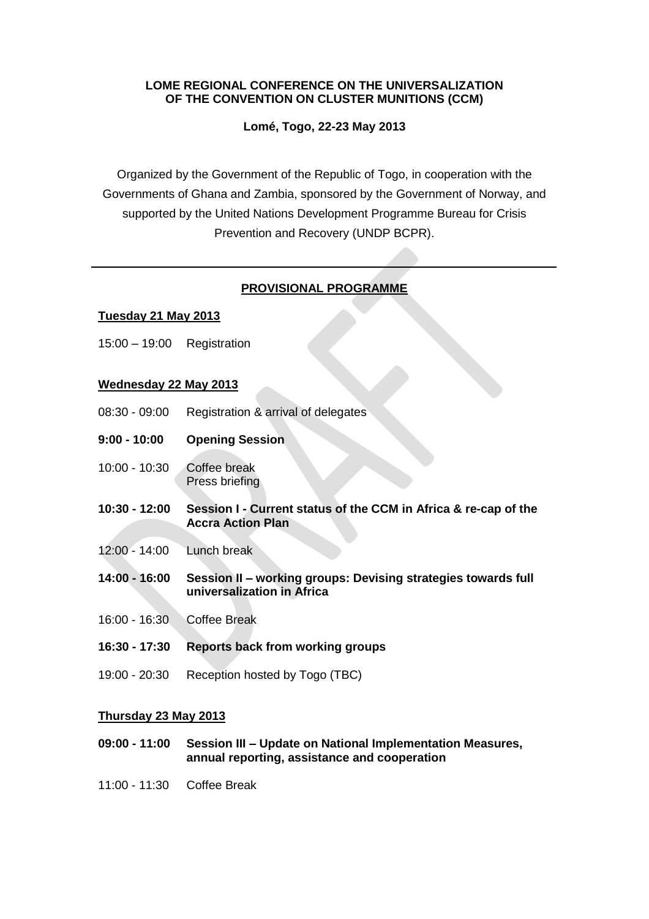#### **LOME REGIONAL CONFERENCE ON THE UNIVERSALIZATION OF THE CONVENTION ON CLUSTER MUNITIONS (CCM)**

**Lomé, Togo, 22-23 May 2013**

Organized by the Government of the Republic of Togo, in cooperation with the Governments of Ghana and Zambia, sponsored by the Government of Norway, and supported by the United Nations Development Programme Bureau for Crisis Prevention and Recovery (UNDP BCPR).

# **PROVISIONAL PROGRAMME**

## **Tuesday 21 May 2013**

15:00 – 19:00 Registration

## **Wednesday 22 May 2013**

- 08:30 09:00 Registration & arrival of delegates
- **9:00 - 10:00 Opening Session**
- 10:00 10:30 Coffee break Press briefing
- **10:30 - 12:00 Session I - Current status of the CCM in Africa & re-cap of the Accra Action Plan**
- 12:00 14:00 Lunch break
- **14:00 - 16:00 Session II – working groups: Devising strategies towards full universalization in Africa**
- 16:00 16:30 Coffee Break
- **16:30 - 17:30 Reports back from working groups**
- 19:00 20:30 Reception hosted by Togo (TBC)

#### **Thursday 23 May 2013**

- **09:00 - 11:00 Session III – Update on National Implementation Measures, annual reporting, assistance and cooperation**
- 11:00 11:30 Coffee Break